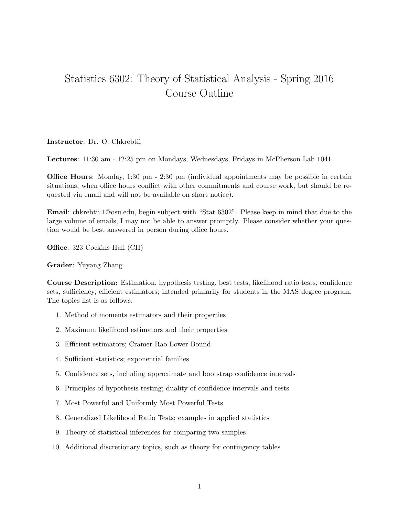## Statistics 6302: Theory of Statistical Analysis - Spring 2016 Course Outline

## Instructor: Dr. O. Chkrebtii

Lectures: 11:30 am - 12:25 pm on Mondays, Wednesdays, Fridays in McPherson Lab 1041.

**Office Hours**: Monday, 1:30 pm - 2:30 pm (individual appointments may be possible in certain situations, when office hours conflict with other commitments and course work, but should be requested via email and will not be available on short notice).

Email: chkrebtii.1@osu.edu, begin subject with "Stat 6302". Please keep in mind that due to the large volume of emails, I may not be able to answer promptly. Please consider whether your question would be best answered in person during office hours.

Office: 323 Cockins Hall (CH)

## Grader: Yuyang Zhang

Course Description: Estimation, hypothesis testing, best tests, likelihood ratio tests, confidence sets, sufficiency, efficient estimators; intended primarily for students in the MAS degree program. The topics list is as follows:

- 1. Method of moments estimators and their properties
- 2. Maximum likelihood estimators and their properties
- 3. Efficient estimators; Cramer-Rao Lower Bound
- 4. Sufficient statistics; exponential families
- 5. Confidence sets, including approximate and bootstrap confidence intervals
- 6. Principles of hypothesis testing; duality of confidence intervals and tests
- 7. Most Powerful and Uniformly Most Powerful Tests
- 8. Generalized Likelihood Ratio Tests; examples in applied statistics
- 9. Theory of statistical inferences for comparing two samples
- 10. Additional discretionary topics, such as theory for contingency tables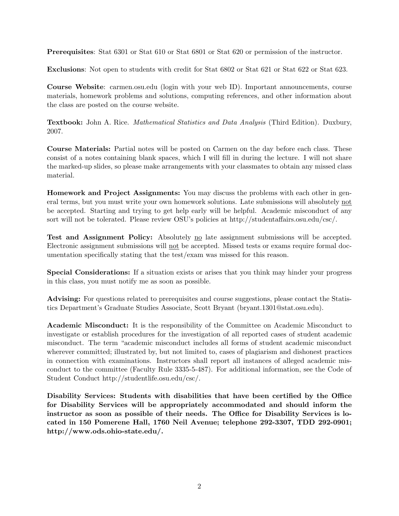Prerequisites: Stat 6301 or Stat 610 or Stat 6801 or Stat 620 or permission of the instructor.

Exclusions: Not open to students with credit for Stat 6802 or Stat 621 or Stat 622 or Stat 623.

Course Website: carmen.osu.edu (login with your web ID). Important announcements, course materials, homework problems and solutions, computing references, and other information about the class are posted on the course website.

Textbook: John A. Rice. *Mathematical Statistics and Data Analysis* (Third Edition). Duxbury, 2007.

Course Materials: Partial notes will be posted on Carmen on the day before each class. These consist of a notes containing blank spaces, which I will fill in during the lecture. I will not share the marked-up slides, so please make arrangements with your classmates to obtain any missed class material.

Homework and Project Assignments: You may discuss the problems with each other in general terms, but you must write your own homework solutions. Late submissions will absolutely not be accepted. Starting and trying to get help early will be helpful. Academic misconduct of any sort will not be tolerated. Please review OSU's policies at http://studentaffairs.osu.edu/csc/.

Test and Assignment Policy: Absolutely no late assignment submissions will be accepted. Electronic assignment submissions will not be accepted. Missed tests or exams require formal documentation specifically stating that the test/exam was missed for this reason.

Special Considerations: If a situation exists or arises that you think may hinder your progress in this class, you must notify me as soon as possible.

Advising: For questions related to prerequisites and course suggestions, please contact the Statistics Department's Graduate Studies Associate, Scott Bryant (bryant.1301@stat.osu.edu).

Academic Misconduct: It is the responsibility of the Committee on Academic Misconduct to investigate or establish procedures for the investigation of all reported cases of student academic misconduct. The term "academic misconduct includes all forms of student academic misconduct wherever committed; illustrated by, but not limited to, cases of plagiarism and dishonest practices in connection with examinations. Instructors shall report all instances of alleged academic misconduct to the committee (Faculty Rule 3335-5-487). For additional information, see the Code of Student Conduct http://studentlife.osu.edu/csc/.

Disability Services: Students with disabilities that have been certified by the Office for Disability Services will be appropriately accommodated and should inform the instructor as soon as possible of their needs. The Office for Disability Services is located in 150 Pomerene Hall, 1760 Neil Avenue; telephone 292-3307, TDD 292-0901; http://www.ods.ohio-state.edu/.